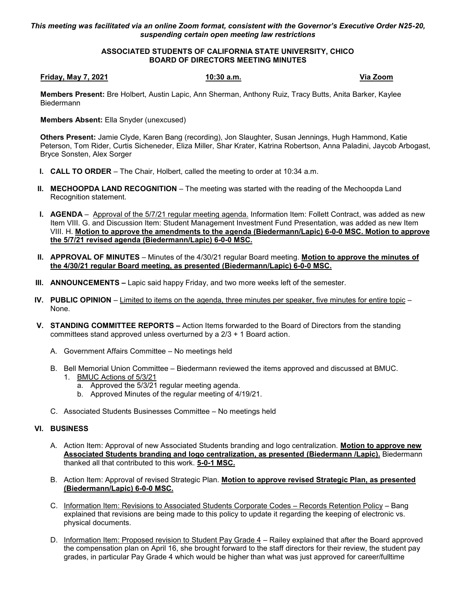## *This meeting was facilitated via an online Zoom format, consistent with the Governor's Executive Order N25-20, suspending certain open meeting law restrictions*

## **ASSOCIATED STUDENTS OF CALIFORNIA STATE UNIVERSITY, CHICO BOARD OF DIRECTORS MEETING MINUTES**

#### **Friday, May 7, 2021 10:30 a.m. Via Zoom**

**Members Present:** Bre Holbert, Austin Lapic, Ann Sherman, Anthony Ruiz, Tracy Butts, Anita Barker, Kaylee Biedermann

**Members Absent:** Ella Snyder (unexcused)

**Others Present:** Jamie Clyde, Karen Bang (recording), Jon Slaughter, Susan Jennings, Hugh Hammond, Katie Peterson, Tom Rider, Curtis Sicheneder, Eliza Miller, Shar Krater, Katrina Robertson, Anna Paladini, Jaycob Arbogast, Bryce Sonsten, Alex Sorger

- **I. CALL TO ORDER** The Chair, Holbert, called the meeting to order at 10:34 a.m.
- **II. MECHOOPDA LAND RECOGNITION** The meeting was started with the reading of the Mechoopda Land Recognition statement.
- **I. AGENDA** Approval of the 5/7/21 regular meeting agenda. Information Item: Follett Contract, was added as new Item VIII. G. and Discussion Item: Student Management Investment Fund Presentation, was added as new Item VIII. H. **Motion to approve the amendments to the agenda (Biedermann/Lapic) 6-0-0 MSC. Motion to approve the 5/7/21 revised agenda (Biedermann/Lapic) 6-0-0 MSC.**
- **II. APPROVAL OF MINUTES** Minutes of the 4/30/21 regular Board meeting. **Motion to approve the minutes of the 4/30/21 regular Board meeting, as presented (Biedermann/Lapic) 6-0-0 MSC.**
- **III. ANNOUNCEMENTS –** Lapic said happy Friday, and two more weeks left of the semester.
- **IV. PUBLIC OPINION** Limited to items on the agenda, three minutes per speaker, five minutes for entire topic None.
- **V. STANDING COMMITTEE REPORTS –** Action Items forwarded to the Board of Directors from the standing committees stand approved unless overturned by a  $2/3 + 1$  Board action.
	- A. Government Affairs Committee No meetings held
	- B. Bell Memorial Union Committee Biedermann reviewed the items approved and discussed at BMUC.
		- 1. BMUC Actions of 5/3/21
			- a. Approved the 5/3/21 regular meeting agenda.
			- b. Approved Minutes of the regular meeting of 4/19/21.
	- C. Associated Students Businesses Committee No meetings held

## **VI. BUSINESS**

- A. Action Item: Approval of new Associated Students branding and logo centralization. **Motion to approve new Associated Students branding and logo centralization, as presented (Biedermann /Lapic).** Biedermann thanked all that contributed to this work. **5-0-1 MSC.**
- B. Action Item: Approval of revised Strategic Plan. **Motion to approve revised Strategic Plan, as presented (Biedermann/Lapic) 6-0-0 MSC.**
- C. Information Item: Revisions to Associated Students Corporate Codes Records Retention Policy Bang explained that revisions are being made to this policy to update it regarding the keeping of electronic vs. physical documents.
- D. Information Item: Proposed revision to Student Pay Grade 4 Railey explained that after the Board approved the compensation plan on April 16, she brought forward to the staff directors for their review, the student pay grades, in particular Pay Grade 4 which would be higher than what was just approved for career/fulltime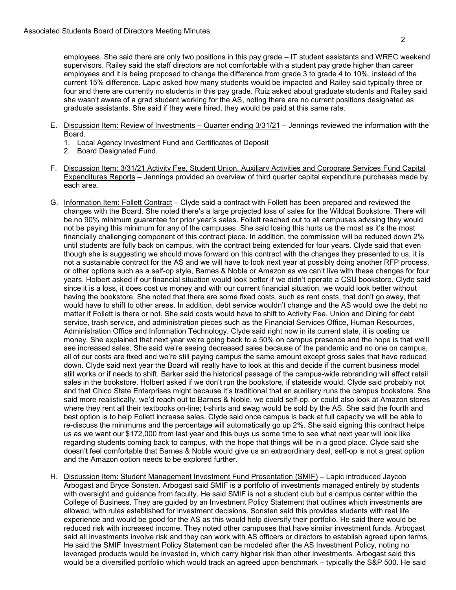employees. She said there are only two positions in this pay grade – IT student assistants and WREC weekend supervisors. Railey said the staff directors are not comfortable with a student pay grade higher than career employees and it is being proposed to change the difference from grade 3 to grade 4 to 10%, instead of the current 15% difference. Lapic asked how many students would be impacted and Railey said typically three or four and there are currently no students in this pay grade. Ruiz asked about graduate students and Railey said she wasn't aware of a grad student working for the AS, noting there are no current positions designated as graduate assistants. She said if they were hired, they would be paid at this same rate.

- E. Discussion Item: Review of Investments Quarter ending 3/31/21 Jennings reviewed the information with the Board.
	- 1. Local Agency Investment Fund and Certificates of Deposit
	- 2. Board Designated Fund.
- F. Discussion Item: 3/31/21 Activity Fee, Student Union, Auxiliary Activities and Corporate Services Fund Capital Expenditures Reports – Jennings provided an overview of third quarter capital expenditure purchases made by each area.
- G. Information Item: Follett Contract Clyde said a contract with Follett has been prepared and reviewed the changes with the Board. She noted there's a large projected loss of sales for the Wildcat Bookstore. There will be no 90% minimum guarantee for prior year's sales. Follett reached out to all campuses advising they would not be paying this minimum for any of the campuses. She said losing this hurts us the most as it's the most financially challenging component of this contract piece. In addition, the commission will be reduced down 2% until students are fully back on campus, with the contract being extended for four years. Clyde said that even though she is suggesting we should move forward on this contract with the changes they presented to us, it is not a sustainable contract for the AS and we will have to look next year at possibly doing another RFP process, or other options such as a self-op style, Barnes & Noble or Amazon as we can't live with these changes for four years. Holbert asked if our financial situation would look better if we didn't operate a CSU bookstore. Clyde said since it is a loss, it does cost us money and with our current financial situation, we would look better without having the bookstore. She noted that there are some fixed costs, such as rent costs, that don't go away, that would have to shift to other areas. In addition, debt service wouldn't change and the AS would owe the debt no matter if Follett is there or not. She said costs would have to shift to Activity Fee, Union and Dining for debt service, trash service, and administration pieces such as the Financial Services Office, Human Resources, Administration Office and Information Technology. Clyde said right now in its current state, it is costing us money. She explained that next year we're going back to a 50% on campus presence and the hope is that we'll see increased sales. She said we're seeing decreased sales because of the pandemic and no one on campus, all of our costs are fixed and we're still paying campus the same amount except gross sales that have reduced down. Clyde said next year the Board will really have to look at this and decide if the current business model still works or if needs to shift. Barker said the historical passage of the campus-wide rebranding will affect retail sales in the bookstore. Holbert asked if we don't run the bookstore, if stateside would. Clyde said probably not and that Chico State Enterprises might because it's traditional that an auxiliary runs the campus bookstore. She said more realistically, we'd reach out to Barnes & Noble, we could self-op, or could also look at Amazon stores where they rent all their textbooks on-line; t-shirts and swag would be sold by the AS. She said the fourth and best option is to help Follett increase sales. Clyde said once campus is back at full capacity we will be able to re-discuss the minimums and the percentage will automatically go up 2%. She said signing this contract helps us as we want our \$172,000 from last year and this buys us some time to see what next year will look like regarding students coming back to campus, with the hope that things will be in a good place. Clyde said she doesn't feel comfortable that Barnes & Noble would give us an extraordinary deal, self-op is not a great option and the Amazon option needs to be explored further.
- H. Discussion Item: Student Management Investment Fund Presentation (SMIF) Lapic introduced Jaycob Arbogast and Bryce Sonsten. Arbogast said SMIF is a portfolio of investments managed entirely by students with oversight and guidance from faculty. He said SMIF is not a student club but a campus center within the College of Business. They are guided by an Investment Policy Statement that outlines which investments are allowed, with rules established for investment decisions. Sonsten said this provides students with real life experience and would be good for the AS as this would help diversify their portfolio. He said there would be reduced risk with increased income. They noted other campuses that have similar investment funds. Arbogast said all investments involve risk and they can work with AS officers or directors to establish agreed upon terms. He said the SMIF Investment Policy Statement can be modeled after the AS Investment Policy, noting no leveraged products would be invested in, which carry higher risk than other investments. Arbogast said this would be a diversified portfolio which would track an agreed upon benchmark – typically the S&P 500. He said